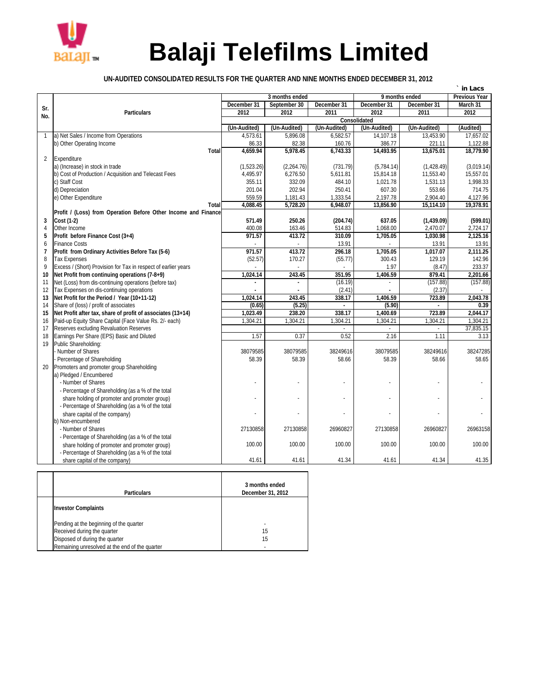

## **Balaji Telefilms Limited**

## **UN-AUDITED CONSOLIDATED RESULTS FOR THE QUARTER AND NINE MONTHS ENDED DECEMBER 31, 2012**

|                     |                                                                                       |                                                          |              |                 |              |                   | in Lacs           |  |
|---------------------|---------------------------------------------------------------------------------------|----------------------------------------------------------|--------------|-----------------|--------------|-------------------|-------------------|--|
|                     |                                                                                       | 3 months ended<br>9 months ended<br><b>Previous Year</b> |              |                 |              |                   |                   |  |
| Sr.                 |                                                                                       | December 31                                              | September 30 | December 31     | December 31  | December 31       | March 31          |  |
| No.                 | <b>Particulars</b>                                                                    | 2012                                                     | 2012         | 2011            | 2012         | 2011              | 2012              |  |
|                     |                                                                                       |                                                          |              |                 | Consolidated |                   |                   |  |
|                     |                                                                                       | (Un-Audited)                                             | (Un-Audited) | (Un-Audited)    | (Un-Audited) | (Un-Audited)      | (Audited)         |  |
| $\mathbf{1}$        | a) Net Sales / Income from Operations                                                 | 4,573.61                                                 | 5,896.08     | 6,582.57        | 14,107.18    | 13,453.90         | 17,657.02         |  |
|                     | b) Other Operating Income                                                             | 86.33                                                    | 82.38        | 160.76          | 386.77       | 221.11            | 1,122.88          |  |
|                     | <b>Total</b>                                                                          | 4,659.94                                                 | 5,978.45     | 6,743.33        | 14,493.95    | 13,675.01         | 18,779.90         |  |
| $\overline{2}$      | Expenditure                                                                           |                                                          |              |                 |              |                   |                   |  |
|                     | a) (Increase) in stock in trade                                                       | (1,523.26)                                               | (2,264.76)   | (731.79)        | (5,784.14)   | (1,428.49)        | (3,019.14)        |  |
|                     | b) Cost of Production / Acquisition and Telecast Fees                                 | 4,495.97                                                 | 6,276.50     | 5,611.81        | 15.814.18    | 11,553.40         | 15.557.01         |  |
|                     | c) Staff Cost                                                                         | 355.11                                                   | 332.09       | 484.10          | 1,021.78     | 1,531.13          | 1,998.33          |  |
|                     | d) Depreciation                                                                       | 201.04                                                   | 202.94       | 250.41          | 607.30       | 553.66            | 714.75            |  |
|                     | e) Other Expenditure                                                                  | 559.59                                                   | 1,181.43     | 1,333.54        | 2,197.78     | 2,904.40          | 4,127.96          |  |
|                     | Total                                                                                 | 4,088.45                                                 | 5,728.20     | 6,948.07        | 13,856.90    | 15,114.10         | 19,378.91         |  |
|                     | Profit / (Loss) from Operation Before Other Income and Finance                        |                                                          |              |                 |              |                   |                   |  |
| 3                   | <b>Cost (1-2)</b>                                                                     | 571.49                                                   | 250.26       | (204.74)        | 637.05       | (1,439.09)        | (599.01)          |  |
| 4                   | Other Income                                                                          | 400.08                                                   | 163.46       | 514.83          | 1,068.00     | 2,470.07          | 2,724.17          |  |
| 5                   | Profit before Finance Cost (3+4)                                                      | 971.57                                                   | 413.72       | 310.09          | 1.705.05     | 1.030.98          | 2.125.16          |  |
| 6                   | <b>Finance Costs</b>                                                                  | 971.57                                                   | 413.72       | 13.91<br>296.18 | 1,705.05     | 13.91<br>1.017.07 | 13.91<br>2.111.25 |  |
| $\overline{7}$<br>8 | Profit from Ordinary Activities Before Tax (5-6)                                      |                                                          | 170.27       | (55.77)         | 300.43       | 129.19            | 142.96            |  |
| 9                   | <b>Tax Expenses</b><br>Excess / (Short) Provision for Tax in respect of earlier years | (52.57)                                                  |              |                 | 1.97         | (8.47)            | 233.37            |  |
| 10                  | Net Profit from continuing operations (7-8+9)                                         | 1,024.14                                                 | 243.45       | 351.95          | 1,406.59     | 879.41            | 2,201.66          |  |
| 11                  | Net (Loss) from dis-continuing operations (before tax)                                |                                                          |              | (16.19)         |              | (157.88)          | (157.88)          |  |
| 12                  | Tax Expenses on dis-continuing operations                                             |                                                          |              | (2.41)          |              | (2.37)            |                   |  |
| 13                  | Net Profit for the Period / Year (10+11-12)                                           | 1.024.14                                                 | 243.45       | 338.17          | 1,406.59     | 723.89            | 2,043.78          |  |
| 14                  | Share of (loss) / profit of associates                                                | (0.65)                                                   | (5.25)       |                 | (5.90)       |                   | 0.39              |  |
| 15                  | Net Profit after tax, share of profit of associates (13+14)                           | 1.023.49                                                 | 238.20       | 338.17          | 1,400.69     | 723.89            | 2.044.17          |  |
| 16                  | Paid-up Equity Share Capital (Face Value Rs. 2/- each)                                | 1,304.21                                                 | 1,304.21     | 1,304.21        | 1,304.21     | 1,304.21          | 1,304.21          |  |
| 17                  | Reserves excluding Revaluation Reserves                                               |                                                          |              |                 |              |                   | 37,835.15         |  |
| 18                  | Earnings Per Share (EPS) Basic and Diluted                                            | 1.57                                                     | 0.37         | 0.52            | 2.16         | 1.11              | 3.13              |  |
| 19                  | Public Shareholding:                                                                  |                                                          |              |                 |              |                   |                   |  |
|                     | Number of Shares                                                                      | 38079585                                                 | 38079585     | 38249616        | 38079585     | 38249616          | 38247285          |  |
|                     | Percentage of Shareholding                                                            | 58.39                                                    | 58.39        | 58.66           | 58.39        | 58.66             | 58.65             |  |
| 20                  | Promoters and promoter group Shareholding                                             |                                                          |              |                 |              |                   |                   |  |
|                     | a) Pledged / Encumbered                                                               |                                                          |              |                 |              |                   |                   |  |
|                     | - Number of Shares                                                                    |                                                          |              |                 |              |                   |                   |  |
|                     | - Percentage of Shareholding (as a % of the total                                     |                                                          |              |                 |              |                   |                   |  |
|                     | share holding of promoter and promoter group)                                         |                                                          |              |                 |              |                   |                   |  |
|                     | - Percentage of Shareholding (as a % of the total                                     |                                                          |              |                 |              |                   |                   |  |
|                     | share capital of the company)                                                         |                                                          |              |                 |              |                   |                   |  |
|                     | b) Non-encumbered                                                                     |                                                          |              |                 |              |                   |                   |  |
|                     | - Number of Shares                                                                    | 27130858                                                 | 27130858     | 26960827        | 27130858     | 26960827          | 26963158          |  |
|                     | - Percentage of Shareholding (as a % of the total                                     |                                                          |              |                 |              |                   |                   |  |
|                     | share holding of promoter and promoter group)                                         | 100.00                                                   | 100.00       | 100.00          | 100.00       | 100.00            | 100.00            |  |
|                     | - Percentage of Shareholding (as a % of the total                                     |                                                          |              |                 |              |                   |                   |  |
|                     | share capital of the company)                                                         | 41.61                                                    | 41.61        | 41.34           | 41.61        | 41.34             | 41.35             |  |

| <b>Particulars</b>                             | 3 months ended<br>December 31, 2012 |
|------------------------------------------------|-------------------------------------|
| <b>Investor Complaints</b>                     |                                     |
| Pending at the beginning of the quarter        | ٠                                   |
| Received during the quarter                    | 15                                  |
| Disposed of during the quarter                 | 15                                  |
| Remaining unresolved at the end of the quarter |                                     |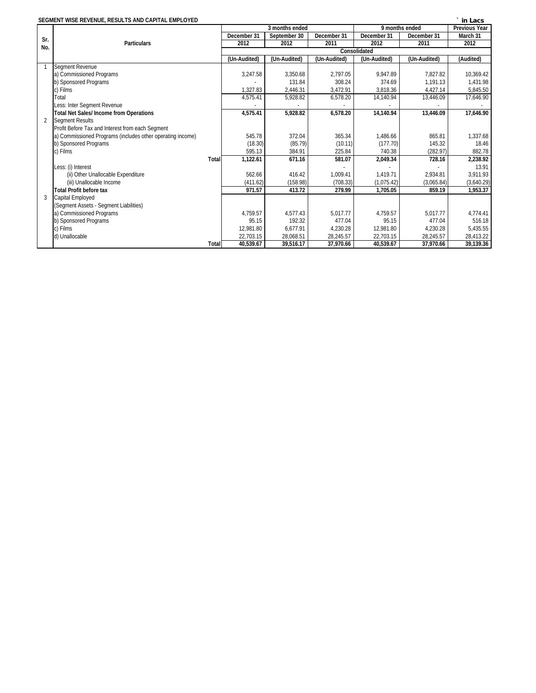| SEGMENT WISE REVENUE, RESULTS AND CAPITAL EMPLOYED<br>in Lacs |                                                            |                           |                     |              |                |                      |            |  |  |  |
|---------------------------------------------------------------|------------------------------------------------------------|---------------------------|---------------------|--------------|----------------|----------------------|------------|--|--|--|
|                                                               |                                                            |                           | 3 months ended      |              | 9 months ended | <b>Previous Year</b> |            |  |  |  |
| Sr.                                                           |                                                            | December 31               | September 30        | December 31  | December 31    | December 31          | March 31   |  |  |  |
| No.                                                           | <b>Particulars</b>                                         | 2012                      | 2012                | 2011         | 2012           | 2011                 | 2012       |  |  |  |
|                                                               |                                                            |                           | <b>Consolidated</b> |              |                |                      |            |  |  |  |
|                                                               |                                                            | (Un-Audited)              | (Un-Audited)        | (Un-Audited) | (Un-Audited)   | (Un-Audited)         | (Audited)  |  |  |  |
|                                                               | Segment Revenue                                            |                           |                     |              |                |                      |            |  |  |  |
|                                                               | a) Commissioned Programs                                   | 3.247.58                  | 3.350.68            | 2.797.05     | 9.947.89       | 7.827.82             | 10,369.42  |  |  |  |
|                                                               | b) Sponsored Programs                                      |                           | 131.84              | 308.24       | 374.69         | 1.191.13             | 1,431.98   |  |  |  |
|                                                               | c) Films                                                   | 1,327.83                  | 2,446.31            | 3,472.91     | 3,818.36       | 4,427.14             | 5,845.50   |  |  |  |
|                                                               | Total                                                      | 4,575.41                  | 5,928.82            | 6,578.20     | 14,140.94      | 13,446.09            | 17,646.90  |  |  |  |
|                                                               | Less: Inter Segment Revenue                                |                           |                     |              |                |                      |            |  |  |  |
|                                                               | <b>Total Net Sales/Income from Operations</b>              | 4,575.41                  | 5,928.82            | 6,578.20     | 14,140.94      | 13,446.09            | 17,646.90  |  |  |  |
| $\overline{2}$                                                | <b>Segment Results</b>                                     |                           |                     |              |                |                      |            |  |  |  |
|                                                               | Profit Before Tax and Interest from each Segment           |                           |                     |              |                |                      |            |  |  |  |
|                                                               | a) Commissioned Programs (includes other operating income) | 545.78                    | 372.04              | 365.34       | 1,486.66       | 865.81               | 1,337.68   |  |  |  |
|                                                               | b) Sponsored Programs                                      | (18.30)                   | (85.79)             | (10.11)      | (177.70)       | 145.32               | 18.46      |  |  |  |
|                                                               | c) Films                                                   | 595.13                    | 384.91              | 225.84       | 740.38         | (282.97)             | 882.78     |  |  |  |
|                                                               | <b>Total</b>                                               | 1,122.61                  | 671.16              | 581.07       | 2,049.34       | 728.16               | 2,238.92   |  |  |  |
|                                                               | Less: (i) Interest                                         |                           |                     |              |                |                      | 13.91      |  |  |  |
|                                                               | (ii) Other Unallocable Expenditure                         | 562.66                    | 416.42              | 1.009.41     | 1.419.71       | 2.934.81             | 3.911.93   |  |  |  |
|                                                               | (iii) Unallocable Income                                   | (411.62)                  | (158.98)            | (708.33)     | (1,075.42)     | (3,065.84)           | (3,640.29) |  |  |  |
|                                                               | <b>Total Profit before tax</b>                             | 971.57                    | 413.72              | 279.99       | 1,705.05       | 859.19               | 1,953.37   |  |  |  |
| 3                                                             | Capital Employed                                           |                           |                     |              |                |                      |            |  |  |  |
|                                                               | (Segment Assets - Segment Liabilities)                     |                           |                     |              |                |                      |            |  |  |  |
|                                                               | a) Commissioned Programs                                   | 4.759.57                  | 4.577.43            | 5,017.77     | 4,759.57       | 5,017.77             | 4,774.41   |  |  |  |
|                                                               | b) Sponsored Programs                                      | 95.15                     | 192.32              | 477.04       | 95.15          | 477.04               | 516.18     |  |  |  |
|                                                               | c) Films                                                   | 12,981.80                 | 6,677.91            | 4,230.28     | 12,981.80      | 4,230.28             | 5,435.55   |  |  |  |
|                                                               | d) Unallocable                                             | 22,703.15                 | 28,068.51           | 28,245.57    | 22,703.15      | 28,245.57            | 28,413.22  |  |  |  |
|                                                               |                                                            | 40,539.67<br><b>Total</b> | 39.516.17           | 37,970.66    | 40,539.67      | 37,970.66            | 39,139.36  |  |  |  |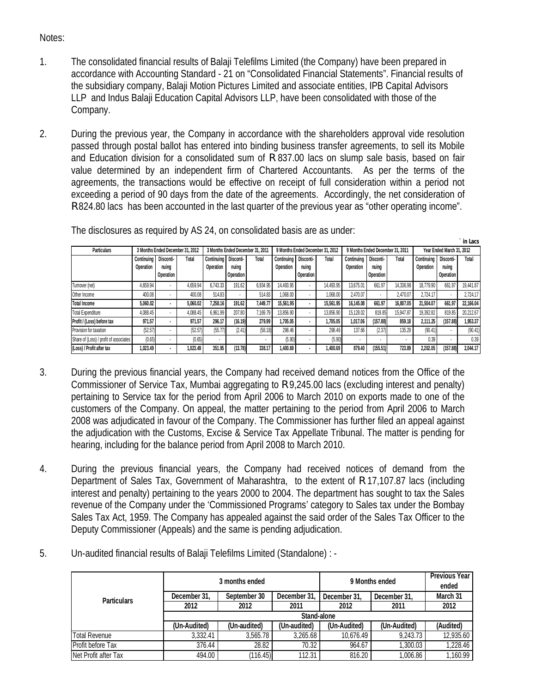## Notes:

- 1. The consolidated financial results of Balaji Telefilms Limited (the Company) have been prepared in accordance with Accounting Standard - 21 on "Consolidated Financial Statements". Financial results of the subsidiary company, Balaji Motion Pictures Limited and associate entities, IPB Capital Advisors LLP and Indus Balaji Education Capital Advisors LLP, have been consolidated with those of the Company.
- 2. During the previous year, the Company in accordance with the shareholders approval vide resolution passed through postal ballot has entered into binding business transfer agreements, to sell its Mobile and Education division for a consolidated sum of R 837.00 lacs on slump sale basis, based on fair value determined by an independent firm of Chartered Accountants. As per the terms of the agreements, the transactions would be effective on receipt of full consideration within a period not exceeding a period of 90 days from the date of the agreements. Accordingly, the net consideration of R 824.80 lacs has been accounted in the last quarter of the previous year as "other operating income".

| <b>Particulars</b>                     | 3 Months Ended December 31, 2012 |           |          | 3 Months Ended December 31, 2011 |                  |          | 9 Months Ended December 31, 2012 |                  |           | 9 Months Ended December 31, 2011 |           |           | Year Ended March 31, 2012 |                  |           |
|----------------------------------------|----------------------------------|-----------|----------|----------------------------------|------------------|----------|----------------------------------|------------------|-----------|----------------------------------|-----------|-----------|---------------------------|------------------|-----------|
|                                        | Continuina                       | Disconti- | Total    | Continuing Disconti              |                  | Total    | <b>Continuina</b>                | Disconti-        | Total     | Continuina                       | Disconti- | Total     | Continuina                | Disconti-        | Total     |
|                                        | Operation                        | nuing     |          | <b>Operation</b>                 | nuina            |          | Operation                        | nuina            |           | Operation                        | nuina     |           | Operation                 | nuing            |           |
|                                        |                                  | Operation |          |                                  | <b>Operation</b> |          |                                  | <b>Operation</b> |           |                                  | Operation |           |                           | <b>Operation</b> |           |
| Turnover (net)                         | 4.659.94                         |           | 4.659.94 | 6.743.33                         | 191.62           | 6.934.95 | 14.493.95                        |                  | 14.493.95 | 13.675.01                        | 661.97    | 14.336.98 | 18.779.90                 | 661.97           | 19.441.87 |
| Other Income                           | 400.08                           |           | 400.08   | 514.83                           |                  | 514.83   | 1.068.00                         |                  | 1.068.00  | 2.470.07                         | ٠         | 2.470.07  | 2.724.17                  |                  | 2.724.17  |
| <b>Total Income</b>                    | 5.060.02                         |           | 5.060.02 | 7,258.16                         | 191.62           | 7.449.77 | 15.561.95                        |                  | 15.561.95 | 16.145.08                        | 661.97    | 16,807.05 | 21.504.07                 | 661.97           | 22.166.04 |
| <b>Total Expenditure</b>               | 4.088.45                         |           | 4.088.45 | 6.961.99                         | 207.80           | 7.169.79 | 13.856.90                        |                  | 13.856.90 | 15.128.02                        | 819.85    | 15.947.87 | 19.392.82                 | 819.85           | 20,212.67 |
| Profit / (Loss) before tax             | 971.57                           |           | 971.57   | 296.17                           | (16.19)          | 279.99   | 1,705.05                         |                  | 1.705.05  | 1.017.06                         | (157.88)  | 859.18    | 2.111.25                  | (157.88)         | 1,953.37  |
| Provision for taxation                 | (52.57)                          |           | (52.57)  | (55.77                           | (2.41)           | (58.18)  | 298.46                           |                  | 298.46    | 137.66                           | (2.37)    | 135.29    | (90.41)                   |                  | (90.41)   |
| Share of (Loss) / profit of associates | (0.65)                           |           | (0.65)   |                                  |                  |          | (5.90)                           |                  | (5.90)    |                                  | ٠         |           | 0.39                      | ٠                | 0.39      |
| (Loss) / Profit after tax              | 1.023.49                         |           | 1.023.49 | 351.95                           | (13.78)          | 338.17   | 1.400.69                         |                  | 1.400.69  | 879.40                           | (155.51)  | 723.89    | 2.202.05                  | (157.88)         | 2.044.17  |

**` in Lacs**

The disclosures as required by AS 24, on consolidated basis are as under:

- 3. During the previous financial years, the Company had received demand notices from the Office of the Commissioner of Service Tax, Mumbai aggregating to R 9,245.00 lacs (excluding interest and penalty) pertaining to Service tax for the period from April 2006 to March 2010 on exports made to one of the customers of the Company. On appeal, the matter pertaining to the period from April 2006 to March 2008 was adjudicated in favour of the Company. The Commissioner has further filed an appeal against the adjudication with the Customs, Excise & Service Tax Appellate Tribunal. The matter is pending for hearing, including for the balance period from April 2008 to March 2010.
- 4. During the previous financial years, the Company had received notices of demand from the Department of Sales Tax, Government of Maharashtra, to the extent of R 17,107.87 lacs (including interest and penalty) pertaining to the years 2000 to 2004. The department has sought to tax the Sales revenue of the Company under the 'Commissioned Programs' category to Sales tax under the Bombay Sales Tax Act, 1959. The Company has appealed against the said order of the Sales Tax Officer to the Deputy Commissioner (Appeals) and the same is pending adjudication.
- 5. Un-audited financial results of Balaji Telefilms Limited (Standalone) : -

|                      |              | 3 months ended |              | 9 Months ended | <b>Previous Year</b><br>ended |           |  |  |  |  |
|----------------------|--------------|----------------|--------------|----------------|-------------------------------|-----------|--|--|--|--|
| <b>Particulars</b>   | December 31. | September 30   | December 31. | December 31,   | December 31.                  | March 31  |  |  |  |  |
|                      | 2012         | 2012           | 2011         | 2012           | 2011                          | 2012      |  |  |  |  |
|                      | Stand-alone  |                |              |                |                               |           |  |  |  |  |
|                      | (Un-Audited) | (Un-audited)   | (Un-audited) | (Un-Audited)   | (Un-Audited)                  | (Audited) |  |  |  |  |
| Total Revenue        | 3,332.41     | 3,565.78       | 3,265.68     | 10.676.49      | 9,243.73                      | 12,935.60 |  |  |  |  |
| Profit before Tax    | 376.44       | 28.82          | 70.32        | 964.67         | 1.300.03                      | 1,228.46  |  |  |  |  |
| Net Profit after Tax | 494.00       | (116.45)       | 112.31       | 816.20         | 1,006.86                      | 1,160.99  |  |  |  |  |